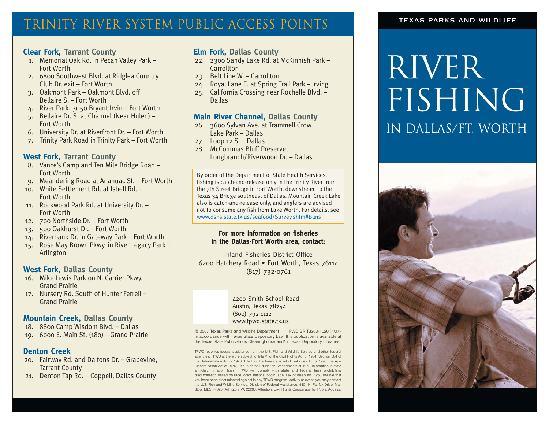## TRINITY RIVER SYSTEM PUBLIC ACCESS POINTS

### **Clear Fork, Tarrant County**

- 1. Memorial Oak Rd. in Pecan Valley Park Fort Worth
- 2. 6800 Southwest Blvd. at Ridglea Country Club Dr. exit – Fort Worth
- 3. Oakmont Park Oakmont Blvd. off Bellaire S. – Fort Worth
- 4. River Park, 3050 Bryant Irvin Fort Worth
- 5. Bellaire Dr. S. at Channel (Near Hulen) Fort Worth
- 6. University Dr. at Riverfront Dr. Fort Worth
- 7. Trinity Park Road in Trinity Park Fort Worth

#### **West Fork, Tarrant County**

- 8. Vance's Camp and Ten Mile Bridge Road Fort Worth
- 9. Meandering Road at Anahuac St. Fort Worth
- 10. White Settlement Rd. at Isbell Rd. Fort Worth
- 11. Rockwood Park Rd. at University Dr. Fort Worth
- 12. 700 Northside Dr. Fort Worth
- 13. 500 Oakhurst Dr. Fort Worth
- 14. Riverbank Dr. in Gateway Park Fort Worth 15. Rose May Brown Pkwy. in River Legacy Park – Arlington

### **West Fork, Dallas County**

- 16. Mike Lewis Park on N. Carrier Pkwy. Grand Prairie
- 17. Nursery Rd. South of Hunter Ferrell Grand Prairie

#### **Mountain Creek, Dallas County**

- 18. 8800 Camp Wisdom Blvd. Dallas
- 19. 6000 E. Main St. (180) Grand Prairie

#### **Denton Creek**

- 20. Fairway Rd. and Daltons Dr. Grapevine, Tarrant County
- 21. Denton Tap Rd. Coppell, Dallas County

### **Elm Fork, Dallas County**

- 22. 2300 Sandy Lake Rd. at McKinnish Park **Carrollton**
- 23. Belt Line W. Carrollton
- 24. Royal Lane E. at Spring Trail Park Irving
- 25. California Crossing near Rochelle Blvd. Dallas

#### **Main River Channel, Dallas County**

- 26. 3600 Sylvan Ave. at Trammell Crow Lake Park – Dallas
- 27. Loop 12 S. Dallas
- 28. McCommas Bluff Preserve, Longbranch/Riverwood Dr. – Dallas

By order of the Department of State Health Services, fishing is catch-and-release only in the Trinity River from the 7th Street Bridge in Fort Worth, downstream to the Texas 34 Bridge southeast of Dallas. Mountain Creek Lake also is catch-and-release only, and anglers are advised not to consume any fish from Lake Worth. For details, see www.dshs.state.tx.us/seafood/Survey.shtm#Bans

#### **For more information on fisheries in the Dallas-Fort Worth area, contact:**

Inland Fisheries District Office 6200 Hatchery Road • Fort Worth, Texas 76114 (817) 732-0761

> 4200 Smith School Road Austin, Texas 78744 (800) 792-1112 www.tpwd.state.tx.us

© 2007 Texas Parks and Wildlife Department PWD BR T3200-1020 (4/07) In accordance with Texas State Depository Law, this publication is available at the Texas State Publications Clearinghouse and/or Texas Depository Libraries.

TPWD receives federal assistance from the U.S. Fish and Wildlife Service and other federal agencies. TPWD is therefore subject to Title VI of the Civil Rights Act of 1964, Section 504 of the Rehabilitation Act of 1973, Title II of the Americans with Disabilities Act of 1990, the Age Discrimination Act of 1975, Title IX of the Education Amendments of 1972, in addition to state anti-discrimination laws. TPWD will comply with state and federal laws prohibiting discrimination based on race, color, national origin, age, sex or disability. If you believe that you have been discriminated against in any TPWD program, activity or event, you may contact the U.S. Fish and Wildlife Service, Division of Federal Assistance, 4401 N. Fairfax Drive, Mail Stop: MBSP-4020, Arlington, VA 22203, Attention: Civil Rights Coordinator for Public Access.

#### texas parks and wildlife

# **RIVER** FISHING in Dallas/Ft. Worth